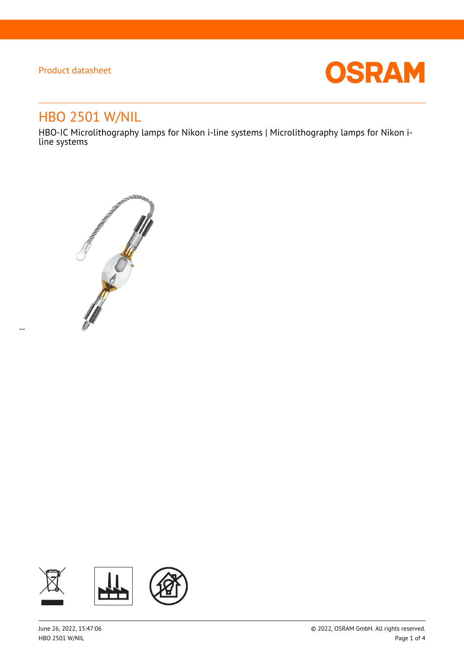$\overline{a}$ 



# HBO 2501 W/NIL

HBO-IC Microlithography lamps for Nikon i-line systems | Microlithography lamps for Nikon iline systems



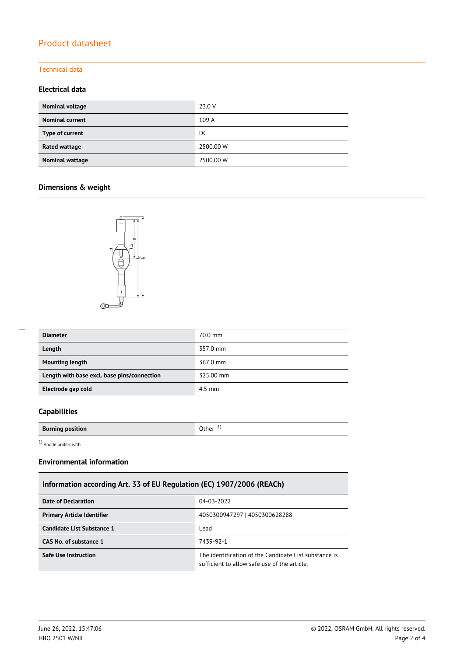### Technical data

### **Electrical data**

| Nominal voltage        | 23.0 V    |
|------------------------|-----------|
| <b>Nominal current</b> | 109 A     |
| Type of current        | DC.       |
| Rated wattage          | 2500.00 W |
| Nominal wattage        | 2500.00 W |

### **Dimensions & weight**



| <b>Diameter</b>                             | 70.0 mm   |
|---------------------------------------------|-----------|
| Length                                      | 357.0 mm  |
| <b>Mounting length</b>                      | 367.0 mm  |
| Length with base excl. base pins/connection | 325.00 mm |
| Electrode gap cold                          | $4.5$ mm  |

### **Capabilities**

| <b>Burning position</b> | Other |
|-------------------------|-------|
|                         |       |

1) Anode underneath

#### **Environmental information**

### **Information according Art. 33 of EU Regulation (EC) 1907/2006 (REACh)**

| Date of Declaration               | 04-03-2022                                                                                            |  |  |
|-----------------------------------|-------------------------------------------------------------------------------------------------------|--|--|
| <b>Primary Article Identifier</b> | 4050300947297   4050300628288                                                                         |  |  |
| Candidate List Substance 1        | Lead                                                                                                  |  |  |
| CAS No. of substance 1            | 7439-92-1                                                                                             |  |  |
| <b>Safe Use Instruction</b>       | The identification of the Candidate List substance is<br>sufficient to allow safe use of the article. |  |  |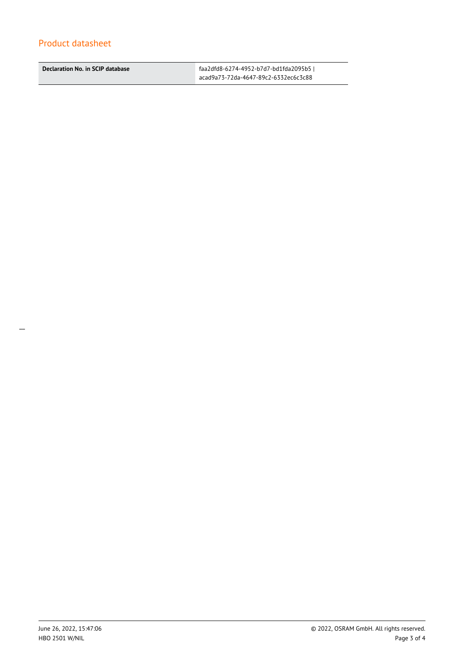**Declaration No. in SCIP database** faa2dfd8-6274-4952-b7d7-bd1fda2095b5 |

acad9a73-72da-4647-89c2-6332ec6c3c88